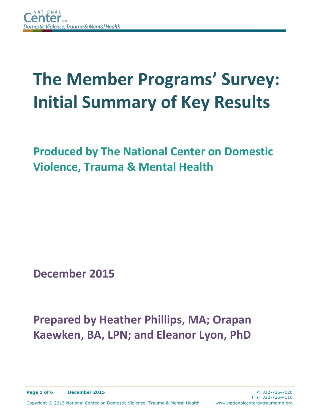# **The Member Programs' Survey: Initial Summary of Key Results**

**Produced by The National Center on Domestic Violence, Trauma & Mental Health**

**December 2015**

## **Prepared by Heather Phillips, MA; Orapan Kaewken, BA, LPN; and Eleanor Lyon, PhD**

**Page 1 of 6** | **December 2015** P: 312-726-7020

TTY: 312-726-4110

Copyright © 2015 National Center on Domestic Violence, Trauma & Mental Health www.nationalcenterdvtraumamh.org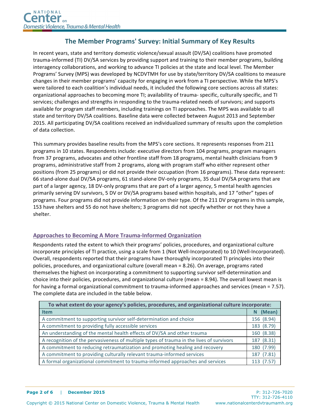### **The Member Programs' Survey: Initial Summary of Key Results**

In recent years, state and territory domestic violence/sexual assault (DV/SA) coalitions have promoted trauma-informed (TI) DV/SA services by providing support and training to their member programs, building interagency collaborations, and working to advance TI policies at the state and local level. The Member Programs' Survey (MPS) was developed by NCDVTMH for use by state/territory DV/SA coalitions to measure changes in their member programs' capacity for engaging in work from a TI perspective. While the MPS's were tailored to each coalition's individual needs, it included the following core sections across all states: organizational approaches to becoming more TI; availability of trauma- specific, culturally specific, and TI services; challenges and strengths in responding to the trauma-related needs of survivors; and supports available for program staff members, including trainings on TI approaches. The MPS was available to all state and territory DV/SA coalitions. Baseline data were collected between August 2013 and September 2015. All participating DV/SA coalitions received an individualized summary of results upon the completion of data collection.

This summary provides baseline results from the MPS's core sections. It represents responses from 211 programs in 10 states. Respondents include: executive directors from 104 programs, program managers from 37 programs, advocates and other frontline staff from 18 programs, mental health clinicians from 9 programs, administrative staff from 2 programs, along with program staff who either represent other positions (from 25 programs) or did not provide their occupation (from 16 programs). These data represent: 66 stand-alone dual DV/SA programs, 61 stand-alone DV-only programs, 35 dual DV/SA programs that are part of a larger agency, 18 DV-only programs that are part of a larger agency, 5 mental health agencies primarily serving DV survivors, 5 DV or DV/SA programs based within hospitals, and 17 "other" types of programs. Four programs did not provide information on their type. Of the 211 DV programs in this sample, 153 have shelters and 55 do not have shelters; 3 programs did not specify whether or not they have a shelter.

#### **Approaches to Becoming A More Trauma-Informed Organization**

Respondents rated the extent to which their programs' policies, procedures, and organizational culture incorporate principles of TI practice, using a scale from 1 (Not Well-Incorporated) to 10 (Well-Incorporated). Overall, respondents reported that their programs have thoroughly incorporated TI principles into their policies, procedures, and organizational culture (overall mean = 8.26). On average, programs rated themselves the highest on incorporating a commitment to supporting survivor self-determination and choice into their policies, procedures, and organizational culture (mean =  $8.94$ ). The overall lowest mean is for having a formal organizational commitment to trauma-informed approaches and services (mean = 7.57). The complete data are included in the table below.

| To what extent do your agency's policies, procedures, and organizational culture incorporate: |            |  |  |  |  |
|-----------------------------------------------------------------------------------------------|------------|--|--|--|--|
| <b>Item</b>                                                                                   | (Mean)     |  |  |  |  |
| A commitment to supporting survivor self-determination and choice                             | 156 (8.94) |  |  |  |  |
| A commitment to providing fully accessible services                                           | 183 (8.79) |  |  |  |  |
| An understanding of the mental health effects of DV/SA and other trauma                       | 160 (8.38) |  |  |  |  |
| A recognition of the pervasiveness of multiple types of trauma in the lives of survivors      | 187 (8.31) |  |  |  |  |
| A commitment to reducing retraumatization and promoting healing and recovery                  | 180 (7.99) |  |  |  |  |
| A commitment to providing culturally relevant trauma-informed services                        | 187 (7.81) |  |  |  |  |
| A formal organizational commitment to trauma-informed approaches and services                 | 113 (7.57) |  |  |  |  |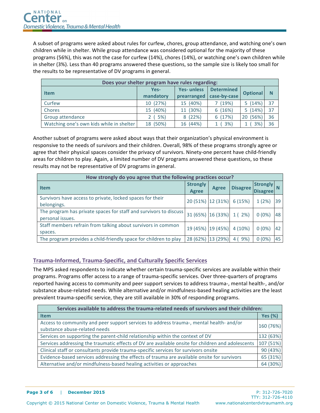A subset of programs were asked about rules for curfew, chores, group attendance, and watching one's own children while in shelter. While group attendance was considered optional for the majority of these programs (56%), this was not the case for curfew (14%), chores (14%), or watching one's own children while in shelter (3%). Less than 40 programs answered these questions, so the sample size is likely too small for the results to be representative of DV programs in general.

| Does your shelter program have rules regarding: |           |                   |                          |                 |    |  |  |  |  |
|-------------------------------------------------|-----------|-------------------|--------------------------|-----------------|----|--|--|--|--|
| <b>Item</b>                                     | Yes-      | <b>Yes-unless</b> | <b>Determined</b>        | <b>Optional</b> | N  |  |  |  |  |
|                                                 | mandatory |                   | prearranged case-by-case |                 |    |  |  |  |  |
| Curfew                                          | 10 (27%)  | 15 (40%)          | (19%)                    | 5(14%)          | 37 |  |  |  |  |
| Chores                                          | 15 (40%)  | 11 (30%)          | 6(16%)                   | 5(14%)          | 37 |  |  |  |  |
| Group attendance                                | 2(5%)     | 8 (22%)           | 6(17%)                   | 20 (56%)        | 36 |  |  |  |  |
| Watching one's own kids while in shelter        | 18 (50%)  | 16 (44%)          | 3%                       | 3%              | 36 |  |  |  |  |

Another subset of programs were asked about ways that their organization's physical environment is responsive to the needs of survivors and their children. Overall, 98% of these programs strongly agree or agree that their physical spaces consider the privacy of survivors. Ninety-one percent have child-friendly areas for children to play. Again, a limited number of DV programs answered these questions, so these results may not be representative of DV programs in general.

| How strongly do you agree that the following practices occur?                         |                                 |              |                             |                                    |                 |  |  |  |  |
|---------------------------------------------------------------------------------------|---------------------------------|--------------|-----------------------------|------------------------------------|-----------------|--|--|--|--|
| <b>Item</b>                                                                           | <b>Strongly</b><br><b>Agree</b> | <b>Agree</b> | <b>Disagree</b>             | <b>Strongly</b><br><b>Disagree</b> |                 |  |  |  |  |
| Survivors have access to private, locked spaces for their<br>belongings.              |                                 |              | $20(51\%)$ 12 (31%) 6 (15%) | 1(2%)                              | 39              |  |  |  |  |
| The program has private spaces for staff and survivors to discuss<br>personal issues. |                                 |              | 31 (65%) 16 (33%) 1 (2%)    | $0(0\%)$                           | 48              |  |  |  |  |
| Staff members refrain from talking about survivors in common<br>spaces.               |                                 |              | 19 (45%) 19 (45%) 4 (10%)   | $0(0\%)$                           | 42 <sub>1</sub> |  |  |  |  |
| The program provides a child-friendly space for children to play                      | 28 (62%)                        | 13 (29%)     | 9%<br>$\overline{4}$        | $0(0\%)$                           | 45              |  |  |  |  |

#### **Trauma-Informed, Trauma-Specific, and Culturally Specific Services**

The MPS asked respondents to indicate whether certain trauma-specific services are available within their programs. Programs offer access to a range of trauma-specific services. Over three-quarters of programs reported having access to community and peer support services to address trauma-, mental health-, and/or substance abuse-related needs. While alternative and/or mindfulness-based healing activities are the least prevalent trauma-specific service, they are still available in 30% of responding programs.

| Services available to address the trauma-related needs of survivors and their children:                                  |                |  |  |  |  |
|--------------------------------------------------------------------------------------------------------------------------|----------------|--|--|--|--|
| <b>Item</b>                                                                                                              | <b>Yes (%)</b> |  |  |  |  |
| Access to community and peer support services to address trauma-, mental health- and/or<br>substance abuse-related needs | 160 (76%)      |  |  |  |  |
| Services on supporting the parent-child relationship within the context of DV                                            | 132 (63%)      |  |  |  |  |
| Services addressing the traumatic effects of DV are available onsite for children and adolescents                        | 107 (51%)      |  |  |  |  |
| Clinical staff or consultants provide trauma-specific services for survivors onsite                                      | 90(43%)        |  |  |  |  |
| Evidence-based services addressing the effects of trauma are available onsite for survivors                              | 65(31%)        |  |  |  |  |
| Alternative and/or mindfulness-based healing activities or approaches                                                    | 64 (30%)       |  |  |  |  |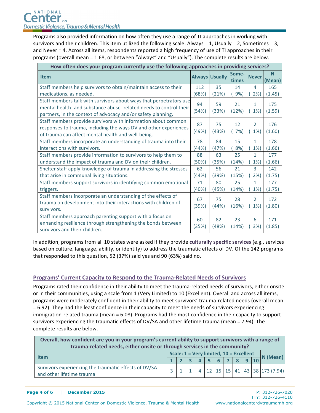Programs also provided information on how often they use a range of TI approaches in working with survivors and their children. This item utilized the following scale: Always = 1, Usually = 2, Sometimes = 3, and Never = 4. Across all items, respondents reported a high frequency of use of TI approaches in their programs (overall mean = 1.68, or between "Always" and "Usually"). The complete results are below.

| How often does your program currently use the following approaches in providing services?                                                |       |                       |                |                |                    |  |  |  |  |
|------------------------------------------------------------------------------------------------------------------------------------------|-------|-----------------------|----------------|----------------|--------------------|--|--|--|--|
| <b>Item</b>                                                                                                                              |       | <b>Always Usually</b> | Some-<br>times | <b>Never</b>   | <b>N</b><br>(Mean) |  |  |  |  |
| Staff members help survivors to obtain/maintain access to their                                                                          | 112   | 35                    | 14             | 4              | 165                |  |  |  |  |
| medications, as needed.                                                                                                                  | (68%) | (21%)                 | 9%             | 2%             | (1.45)             |  |  |  |  |
| Staff members talk with survivors about ways that perpetrators use<br>mental health- and substance abuse- related needs to control their | 94    | 59                    | 21             | $\mathbf{1}$   | 175                |  |  |  |  |
| partners, in the context of advocacy and/or safety planning.                                                                             | (54%) | (33%)                 | (12%)          | 1%             | (1.59)             |  |  |  |  |
| Staff members provide survivors with information about common                                                                            | 87    | 75                    | 12             | 2              | 176                |  |  |  |  |
| responses to trauma, including the ways DV and other experiences<br>of trauma can affect mental health and well-being.                   | (49%) | (43%)                 | (7%)           | 1%             | (1.60)             |  |  |  |  |
| Staff members incorporate an understanding of trauma into their                                                                          | 78    | 84                    | 15             | $\mathbf{1}$   | 178                |  |  |  |  |
| interactions with survivors.                                                                                                             | (44%) | (47%)                 | 8%)            | 1%             | (1.66)             |  |  |  |  |
| Staff members provide information to survivors to help them to                                                                           | 88    | 63                    | 25             | $\mathbf{1}$   | 177                |  |  |  |  |
| understand the impact of trauma and DV on their children.                                                                                | (50%) | (35%)                 | (14%)          | 1%             | (1.66)             |  |  |  |  |
| Shelter staff apply knowledge of trauma in addressing the stresses                                                                       | 62    | 56                    | 21             | 3              | 142                |  |  |  |  |
| that arise in communal living situations.                                                                                                | (44%) | (39%)                 | (15%)          | 2%             | (1.75)             |  |  |  |  |
| Staff members support survivors in identifying common emotional                                                                          | 71    | 80                    | 25             | $\mathbf{1}$   | 177                |  |  |  |  |
| triggers.                                                                                                                                | (40%) | (45%)                 | (14%)          | 1%             | (1.75)             |  |  |  |  |
| Staff members incorporate an understanding of the effects of                                                                             | 67    | 75                    | 28             | $\overline{2}$ | 172                |  |  |  |  |
| trauma on development into their interactions with children of                                                                           | (39%) | (44%)                 | (16%)          | 1%             | (1.80)             |  |  |  |  |
| survivors.                                                                                                                               |       |                       |                |                |                    |  |  |  |  |
| Staff members approach parenting support with a focus on                                                                                 | 60    | 82                    | 23             | 6              | 171                |  |  |  |  |
| enhancing resilience through strengthening the bonds between                                                                             | (35%) | (48%)                 | (14%)          | 3%             | (1.85)             |  |  |  |  |
| survivors and their children.                                                                                                            |       |                       |                |                |                    |  |  |  |  |

In addition, programs from all 10 states were asked if they provide culturally specific services (e.g., services based on culture, language, ability, or identity) to address the traumatic effects of DV. Of the 142 programs that responded to this question, 52 (37%) said yes and 90 (63%) said no.

#### **Programs' Current Capacity to Respond to the Trauma-Related Needs of Survivors**

Programs rated their confidence in their ability to meet the trauma-related needs of survivors, either onsite or in their communities, using a scale from 1 (Very Limited) to 10 (Excellent). Overall and across all items, programs were moderately confident in their ability to meet survivors' trauma-related needs (overall mean = 6.92). They had the least confidence in their capacity to meet the needs of survivors experiencing immigration-related trauma (mean = 6.08). Programs had the most confidence in their capacity to support survivors experiencing the traumatic effects of DV/SA and other lifetime trauma (mean = 7.94). The complete results are below.

| Overall, how confident are you in your program's current ability to support survivors with a range of<br>trauma-related needs, either onsite or through services in the community? |                                                                               |  |  |  |  |  |  |  |  |  |                                                |
|------------------------------------------------------------------------------------------------------------------------------------------------------------------------------------|-------------------------------------------------------------------------------|--|--|--|--|--|--|--|--|--|------------------------------------------------|
| <b>Item</b>                                                                                                                                                                        | Scale: 1 = Very limited, 10 = Excellent<br>$\overline{\Box}$ N (Mean)<br>5678 |  |  |  |  |  |  |  |  |  |                                                |
| Survivors experiencing the traumatic effects of DV/SA<br>and other lifetime trauma                                                                                                 |                                                                               |  |  |  |  |  |  |  |  |  | $4$   12   15   15   41   43   38   173 (7.94) |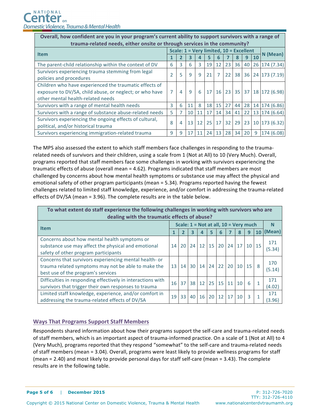| Overall, how confident are you in your program's current ability to support survivors with a range of |                                         |          |              |    |                 |       |                 |    |    |           |                        |
|-------------------------------------------------------------------------------------------------------|-----------------------------------------|----------|--------------|----|-----------------|-------|-----------------|----|----|-----------|------------------------|
| trauma-related needs, either onsite or through services in the community?                             |                                         |          |              |    |                 |       |                 |    |    |           |                        |
| <b>Item</b>                                                                                           | Scale: 1 = Very limited, 10 = Excellent | N (Mean) |              |    |                 |       |                 |    |    |           |                        |
|                                                                                                       |                                         |          |              |    |                 |       |                 |    | q  | <b>10</b> |                        |
| The parent-child relationship within the context of DV                                                | 6                                       | 3        | 6            | 3  | 19              | 12    | 23 <sup>1</sup> | 36 | 40 |           | 26 174 (7.34)          |
| Survivors experiencing trauma stemming from legal                                                     |                                         | 5        | $\mathsf{q}$ | 9  | 21              |       |                 |    |    |           | 22 38 36 24 173 (7.19) |
| policies and procedures                                                                               |                                         |          |              |    |                 |       |                 |    |    |           |                        |
| Children who have experienced the traumatic effects of                                                |                                         |          |              |    |                 |       |                 |    |    |           |                        |
| exposure to DV/SA, child abuse, or neglect; or who have                                               | 7                                       | 4        | $\mathsf{q}$ | 6  |                 | 17 16 |                 |    |    |           | 23 35 37 18 172 (6.98) |
| other mental health-related needs                                                                     |                                         |          |              |    |                 |       |                 |    |    |           |                        |
| Survivors with a range of mental health needs                                                         | 3                                       | 6        | 11           | 8  | 18 <sup>1</sup> | 15    | 27              | 44 | 28 |           | 14 174 (6.86)          |
| Survivors with a range of substance abuse-related needs                                               | 5                                       |          | 10           | 11 | 17              | 14    | 34              | 41 | 22 |           | 13 174 (6.64)          |
| Survivors experiencing the ongoing effects of cultural,                                               | 8                                       | 4        | 13           | 12 | 25 <sub>1</sub> | 17    | 32              | 29 | 23 |           | 10 173 (6.32)          |
| political, and/or historical trauma                                                                   |                                         |          |              |    |                 |       |                 |    |    |           |                        |
| Survivors experiencing immigration-related trauma                                                     | 9                                       | 9        | 17           | 11 | 24              | 13    | 28              | 34 | 20 | 9         | 174 (6.08)             |

The MPS also assessed the extent to which staff members face challenges in responding to the traumarelated needs of survivors and their children, using a scale from 1 (Not at All) to 10 (Very Much). Overall, programs reported that staff members face some challenges in working with survivors experiencing the traumatic effects of abuse (overall mean = 4.62). Programs indicated that staff members are most challenged by concerns about how mental health symptoms or substance use may affect the physical and emotional safety of other program participants (mean = 5.34). Programs reported having the fewest challenges related to limited staff knowledge, experience, and/or comfort in addressing the trauma-related effects of DV/SA (mean = 3.96). The complete results are in the table below.

| To what extent do staff experience the following challenges in working with survivors who are<br>dealing with the traumatic effects of abuse?       |                                       |    |    |       |                 |                 |    |                    |                 |    |               |
|-----------------------------------------------------------------------------------------------------------------------------------------------------|---------------------------------------|----|----|-------|-----------------|-----------------|----|--------------------|-----------------|----|---------------|
| <b>Item</b>                                                                                                                                         | Scale: 1 = Not at all, 10 = Very much |    |    |       |                 |                 |    |                    |                 |    |               |
|                                                                                                                                                     |                                       |    | 3  |       | 5               | 6               |    | 8                  | 9               | 10 | (Mean)        |
| Concerns about how mental health symptoms or<br>substance use may affect the physical and emotional<br>safety of other program participants         | 14                                    | 20 | 24 | 12    | 15              | 20 <sup>1</sup> |    | $24 \overline{17}$ | 10 <sup>1</sup> | 15 | 171<br>(5.34) |
| Concerns that survivors experiencing mental health- or<br>trauma related symptoms may not be able to make the<br>best use of the program's services | 13 <sup>1</sup>                       | 14 |    |       |                 |                 |    | 30 14 24 22 20 10  | 15              | 8  | 170<br>(5.14) |
| Difficulties in responding effectively in interactions with<br>survivors that trigger their own responses to trauma                                 | 16 <sup>1</sup>                       | 37 |    | 38 12 | 25              | 15 <sup>1</sup> | 11 | 10                 | 6               | 1  | 171<br>(4.02) |
| Limited staff knowledge, experience, and/or comfort in<br>addressing the trauma-related effects of DV/SA                                            | 19                                    | 33 | 40 | 16    | 20 <sup>1</sup> | 12              | 17 | 10                 | 3               | 1  | 171<br>(3.96) |

#### **Ways That Programs Support Staff Members**

Respondents shared information about how their programs support the self-care and trauma-related needs of staff members, which is an important aspect of trauma-informed practice. On a scale of 1 (Not at All) to 4 (Very Much), programs reported that they respond "somewhat" to the self-care and trauma-related needs of staff members (mean = 3.04). Overall, programs were least likely to provide wellness programs for staff (mean =  $2.40$ ) and most likely to provide personal days for staff self-care (mean =  $3.43$ ). The complete results are in the following table.